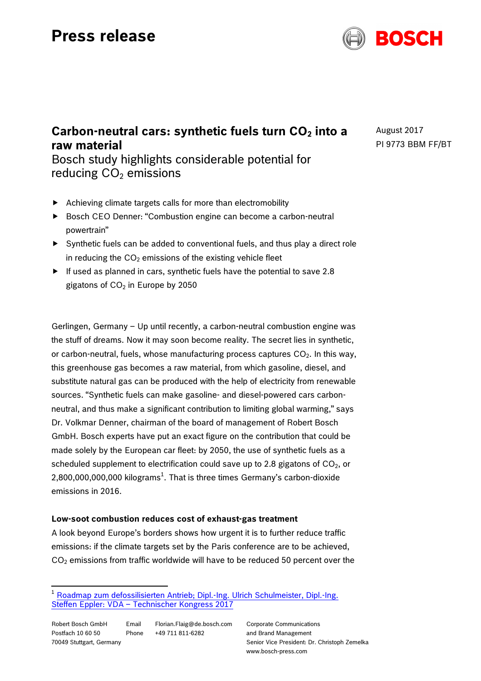# **Press release**



# **Carbon-neutral cars: synthetic fuels turn CO<sub>2</sub> into a raw material**

August 2017 PI 9773 BBM FF/BT

Bosch study highlights considerable potential for reducing  $CO<sub>2</sub>$  emissions

- $\blacktriangleright$  Achieving climate targets calls for more than electromobility
- ▶ Bosch CEO Denner: "Combustion engine can become a carbon-neutral powertrain"
- Synthetic fuels can be added to conventional fuels, and thus play a direct role in reducing the  $CO<sub>2</sub>$  emissions of the existing vehicle fleet
- $\blacktriangleright$  If used as planned in cars, synthetic fuels have the potential to save 2.8 gigatons of  $CO<sub>2</sub>$  in Europe by 2050

Gerlingen, Germany – Up until recently, a carbon-neutral combustion engine was the stuff of dreams. Now it may soon become reality. The secret lies in synthetic, or carbon-neutral, fuels, whose manufacturing process captures  $CO<sub>2</sub>$ . In this way, this greenhouse gas becomes a raw material, from which gasoline, diesel, and substitute natural gas can be produced with the help of electricity from renewable sources. "Synthetic fuels can make gasoline- and diesel-powered cars carbonneutral, and thus make a significant contribution to limiting global warming," says Dr. Volkmar Denner, chairman of the board of management of Robert Bosch GmbH. Bosch experts have put an exact figure on the contribution that could be made solely by the European car fleet: by 2050, the use of synthetic fuels as a scheduled supplement to electrification could save up to 2.8 gigatons of  $CO<sub>2</sub>$ , or 2,800,000,000,000 kilograms $^1$ . That is three times Germany's carbon-dioxide emissions in 2016.

# **Low-soot combustion reduces cost of exhaust-gas treatment**

A look beyond Europe's borders shows how urgent it is to further reduce traffic emissions: if the climate targets set by the Paris conference are to be achieved,  $CO<sub>2</sub>$  emissions from traffic worldwide will have to be reduced 50 percent over the

Corporate Communications and Brand Management Senior Vice President: Dr. Christoph Zemelka www.bosch-press.com

 <sup>1</sup> Roadmap zum defossilisierten Antrieb; Dipl.-Ing. Ulrich Schulmeister, Dipl.-Ing. Steffen Eppler: VDA – Technischer Kongress 2017

Robert Bosch GmbH Postfach 10 60 50 70049 Stuttgart, Germany Email Florian.Flaig@de.bosch.com Phone +49 711 811-6282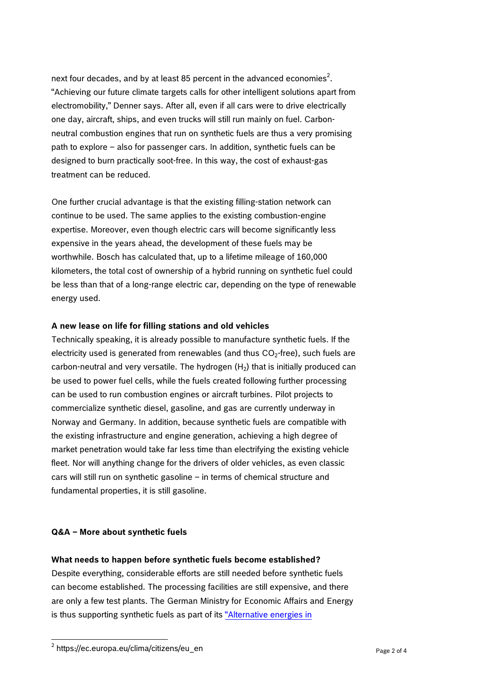next four decades, and by at least 85 percent in the advanced economies $^2$ . "Achieving our future climate targets calls for other intelligent solutions apart from electromobility," Denner says. After all, even if all cars were to drive electrically one day, aircraft, ships, and even trucks will still run mainly on fuel. Carbonneutral combustion engines that run on synthetic fuels are thus a very promising path to explore – also for passenger cars. In addition, synthetic fuels can be designed to burn practically soot-free. In this way, the cost of exhaust-gas treatment can be reduced.

One further crucial advantage is that the existing filling-station network can continue to be used. The same applies to the existing combustion-engine expertise. Moreover, even though electric cars will become significantly less expensive in the years ahead, the development of these fuels may be worthwhile. Bosch has calculated that, up to a lifetime mileage of 160,000 kilometers, the total cost of ownership of a hybrid running on synthetic fuel could be less than that of a long-range electric car, depending on the type of renewable energy used.

# **A new lease on life for filling stations and old vehicles**

Technically speaking, it is already possible to manufacture synthetic fuels. If the electricity used is generated from renewables (and thus  $CO<sub>2</sub>$ -free), such fuels are carbon-neutral and very versatile. The hydrogen  $(H<sub>2</sub>)$  that is initially produced can be used to power fuel cells, while the fuels created following further processing can be used to run combustion engines or aircraft turbines. Pilot projects to commercialize synthetic diesel, gasoline, and gas are currently underway in Norway and Germany. In addition, because synthetic fuels are compatible with the existing infrastructure and engine generation, achieving a high degree of market penetration would take far less time than electrifying the existing vehicle fleet. Nor will anything change for the drivers of older vehicles, as even classic cars will still run on synthetic gasoline – in terms of chemical structure and fundamental properties, it is still gasoline.

#### **Q&A – More about synthetic fuels**

#### **What needs to happen before synthetic fuels become established?**

Despite everything, considerable efforts are still needed before synthetic fuels can become established. The processing facilities are still expensive, and there are only a few test plants. The German Ministry for Economic Affairs and Energy is thus supporting synthetic fuels as part of its "Alternative energies in

 $2$  https://ec.europa.eu/clima/citizens/eu\_en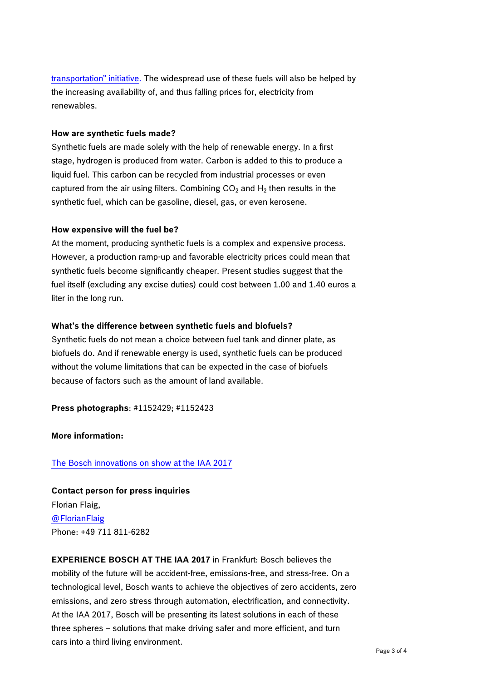transportation" initiative. The widespread use of these fuels will also be helped by the increasing availability of, and thus falling prices for, electricity from renewables.

#### **How are synthetic fuels made?**

Synthetic fuels are made solely with the help of renewable energy. In a first stage, hydrogen is produced from water. Carbon is added to this to produce a liquid fuel. This carbon can be recycled from industrial processes or even captured from the air using filters. Combining  $CO<sub>2</sub>$  and  $H<sub>2</sub>$  then results in the synthetic fuel, which can be gasoline, diesel, gas, or even kerosene.

# **How expensive will the fuel be?**

At the moment, producing synthetic fuels is a complex and expensive process. However, a production ramp-up and favorable electricity prices could mean that synthetic fuels become significantly cheaper. Present studies suggest that the fuel itself (excluding any excise duties) could cost between 1.00 and 1.40 euros a liter in the long run.

# **What's the difference between synthetic fuels and biofuels?**

Synthetic fuels do not mean a choice between fuel tank and dinner plate, as biofuels do. And if renewable energy is used, synthetic fuels can be produced without the volume limitations that can be expected in the case of biofuels because of factors such as the amount of land available.

**Press photographs**: #1152429; #1152423

**More information:**

The Bosch innovations on show at the IAA 2017

**Contact person for press inquiries** Florian Flaig, @FlorianFlaig Phone: +49 711 811-6282

**EXPERIENCE BOSCH AT THE IAA 2017** in Frankfurt: Bosch believes the mobility of the future will be accident-free, emissions-free, and stress-free. On a technological level, Bosch wants to achieve the objectives of zero accidents, zero emissions, and zero stress through automation, electrification, and connectivity. At the IAA 2017, Bosch will be presenting its latest solutions in each of these three spheres – solutions that make driving safer and more efficient, and turn cars into a third living environment.